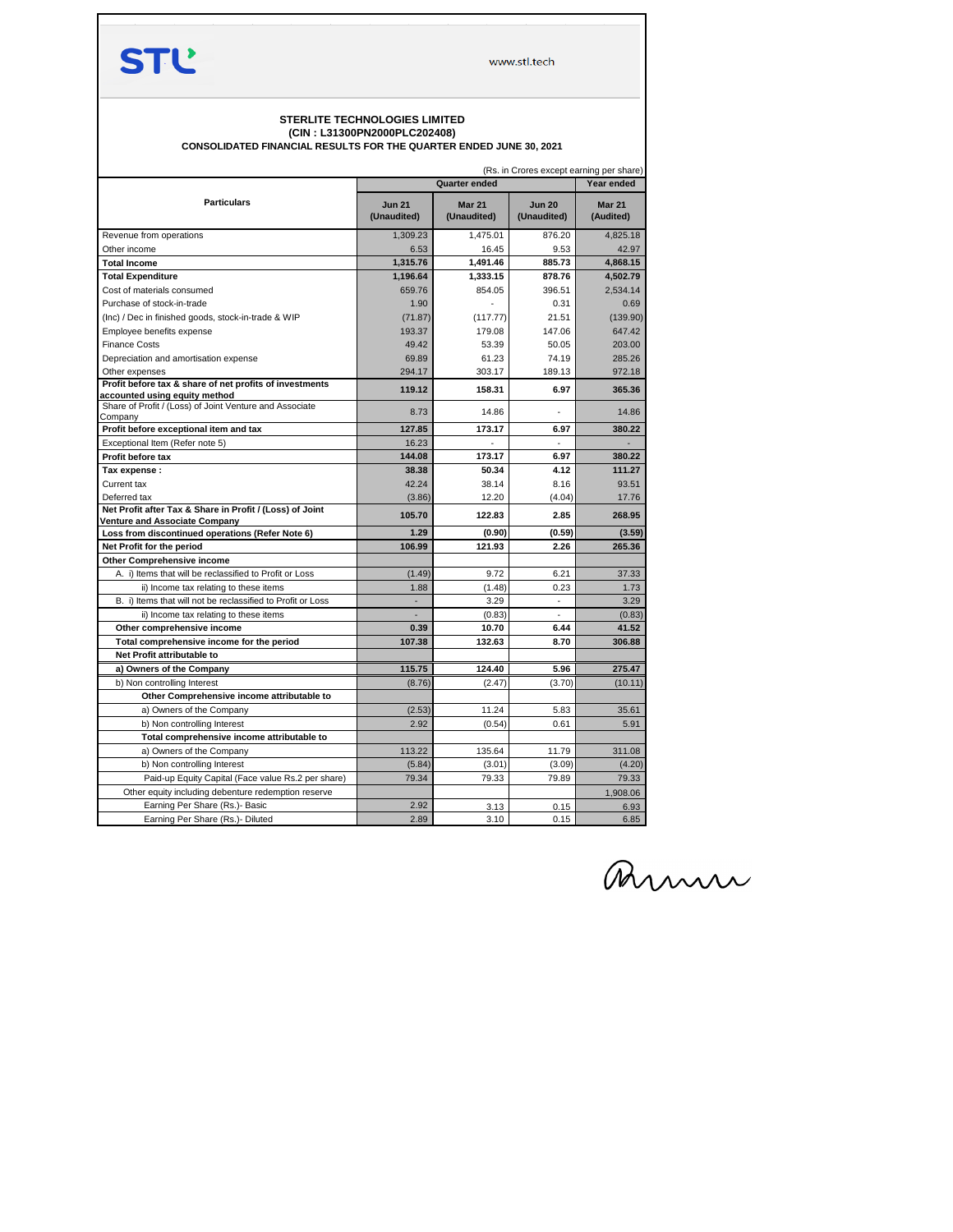

www.stl.tech

## **STERLITE TECHNOLOGIES LIMITED (CIN : L31300PN2000PLC202408)**

**CONSOLIDATED FINANCIAL RESULTS FOR THE QUARTER ENDED JUNE 30, 2021**

| (Rs. in Crores except earning per share)                    |                              |                              |                              |                            |  |
|-------------------------------------------------------------|------------------------------|------------------------------|------------------------------|----------------------------|--|
|                                                             | Quarter ended                |                              |                              | Year ended                 |  |
| <b>Particulars</b>                                          | <b>Jun 21</b><br>(Unaudited) | <b>Mar 21</b><br>(Unaudited) | <b>Jun 20</b><br>(Unaudited) | <b>Mar 21</b><br>(Audited) |  |
| Revenue from operations                                     | 1.309.23                     | 1.475.01                     | 876.20                       | 4.825.18                   |  |
| Other income                                                | 6.53                         | 16.45                        | 9.53                         | 42.97                      |  |
| <b>Total Income</b>                                         | 1,315.76                     | 1,491.46                     | 885.73                       | 4,868.15                   |  |
| <b>Total Expenditure</b>                                    | 1,196.64                     | 1,333.15                     | 878.76                       | 4,502.79                   |  |
| Cost of materials consumed                                  | 659.76                       | 854.05                       | 396.51                       | 2,534.14                   |  |
| Purchase of stock-in-trade                                  | 1.90                         |                              | 0.31                         | 0.69                       |  |
| (Inc) / Dec in finished goods, stock-in-trade & WIP         | (71.87)                      | (117.77)                     | 21.51                        | (139.90)                   |  |
| Employee benefits expense                                   | 193.37                       | 179.08                       | 147.06                       | 647.42                     |  |
| <b>Finance Costs</b>                                        | 49.42                        | 53.39                        | 50.05                        | 203.00                     |  |
| Depreciation and amortisation expense                       | 69.89                        | 61.23                        | 74.19                        | 285.26                     |  |
| Other expenses                                              | 294.17                       | 303.17                       | 189.13                       | 972.18                     |  |
| Profit before tax & share of net profits of investments     | 119.12                       | 158.31                       | 6.97                         | 365.36                     |  |
| accounted using equity method                               |                              |                              |                              |                            |  |
| Share of Profit / (Loss) of Joint Venture and Associate     | 8.73                         | 14.86                        |                              | 14.86                      |  |
| Company<br>Profit before exceptional item and tax           | 127.85                       | 173.17                       | 6.97                         | 380.22                     |  |
| Exceptional Item (Refer note 5)                             | 16.23                        |                              | $\blacksquare$               |                            |  |
| Profit before tax                                           | 144.08                       | 173.17                       | 6.97                         | 380.22                     |  |
| Tax expense:                                                | 38.38                        | 50.34                        | 4.12                         | 111.27                     |  |
| Current tax                                                 | 42.24                        | 38.14                        | 8.16                         | 93.51                      |  |
| Deferred tax                                                | (3.86)                       | 12.20                        | (4.04)                       | 17.76                      |  |
| Net Profit after Tax & Share in Profit / (Loss) of Joint    |                              |                              |                              |                            |  |
| <b>Venture and Associate Company</b>                        | 105.70                       | 122.83                       | 2.85                         | 268.95                     |  |
| Loss from discontinued operations (Refer Note 6)            | 1.29                         | (0.90)                       | (0.59)                       | (3.59)                     |  |
| Net Profit for the period                                   | 106.99                       | 121.93                       | 2.26                         | 265.36                     |  |
| <b>Other Comprehensive income</b>                           |                              |                              |                              |                            |  |
| A. i) Items that will be reclassified to Profit or Loss     | (1.49)                       | 9.72                         | 6.21                         | 37.33                      |  |
| ii) Income tax relating to these items                      | 1.88                         | (1.48)                       | 0.23                         | 1.73                       |  |
| B. i) Items that will not be reclassified to Profit or Loss |                              | 3.29                         | $\blacksquare$               | 3.29                       |  |
| ii) Income tax relating to these items                      |                              | (0.83)                       |                              | (0.83)                     |  |
| Other comprehensive income                                  | 0.39                         | 10.70                        | 6.44                         | 41.52                      |  |
| Total comprehensive income for the period                   | 107.38                       | 132.63                       | 8.70                         | 306.88                     |  |
| Net Profit attributable to                                  |                              |                              |                              |                            |  |
| a) Owners of the Company                                    | 115.75                       | 124.40                       | 5.96                         | 275.47                     |  |
| b) Non controlling Interest                                 | (8.76)                       | (2.47)                       | (3.70)                       | (10.11)                    |  |
| Other Comprehensive income attributable to                  |                              |                              |                              |                            |  |
| a) Owners of the Company                                    | (2.53)                       | 11.24                        | 5.83                         | 35.61                      |  |
| b) Non controlling Interest                                 | 2.92                         | (0.54)                       | 0.61                         | 5.91                       |  |
| Total comprehensive income attributable to                  |                              |                              |                              |                            |  |
| a) Owners of the Company                                    | 113.22                       | 135.64                       | 11.79                        | 311.08                     |  |
| b) Non controlling Interest                                 | (5.84)                       | (3.01)                       | (3.09)                       | (4.20)                     |  |
| Paid-up Equity Capital (Face value Rs.2 per share)          | 79.34                        | 79.33                        | 79.89                        | 79.33                      |  |
| Other equity including debenture redemption reserve         |                              |                              |                              | 1,908.06                   |  |
| Earning Per Share (Rs.)- Basic                              | 2.92                         | 3.13                         | 0.15                         | 6.93                       |  |
| Earning Per Share (Rs.)- Diluted                            | 2.89                         | 3.10                         | 0.15                         | 6.85                       |  |
|                                                             |                              |                              |                              |                            |  |

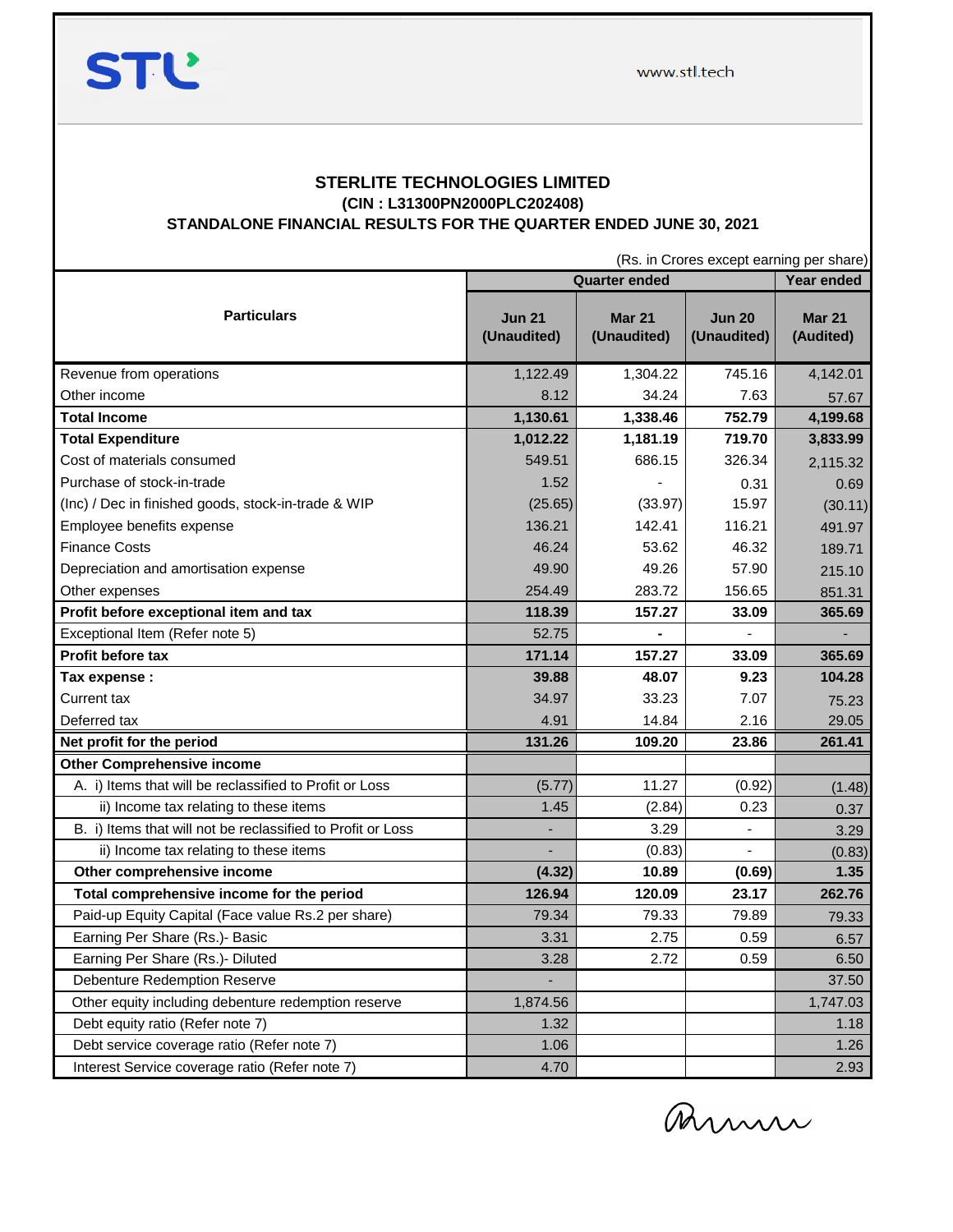



## **STERLITE TECHNOLOGIES LIMITED (CIN : L31300PN2000PLC202408) STANDALONE FINANCIAL RESULTS FOR THE QUARTER ENDED JUNE 30, 2021**

(Rs. in Crores except earning per share)

|                                                             | <b>Quarter ended</b>         |                              |                              | Year ended                 |
|-------------------------------------------------------------|------------------------------|------------------------------|------------------------------|----------------------------|
| <b>Particulars</b>                                          | <b>Jun 21</b><br>(Unaudited) | <b>Mar 21</b><br>(Unaudited) | <b>Jun 20</b><br>(Unaudited) | <b>Mar 21</b><br>(Audited) |
| Revenue from operations                                     | 1,122.49                     | 1,304.22                     | 745.16                       | 4,142.01                   |
| Other income                                                | 8.12                         | 34.24                        | 7.63                         | 57.67                      |
| <b>Total Income</b>                                         | 1,130.61                     | 1,338.46                     | 752.79                       | 4,199.68                   |
| <b>Total Expenditure</b>                                    | 1,012.22                     | 1,181.19                     | 719.70                       | 3,833.99                   |
| Cost of materials consumed                                  | 549.51                       | 686.15                       | 326.34                       | 2,115.32                   |
| Purchase of stock-in-trade                                  | 1.52                         |                              | 0.31                         | 0.69                       |
| (Inc) / Dec in finished goods, stock-in-trade & WIP         | (25.65)                      | (33.97)                      | 15.97                        | (30.11)                    |
| Employee benefits expense                                   | 136.21                       | 142.41                       | 116.21                       | 491.97                     |
| <b>Finance Costs</b>                                        | 46.24                        | 53.62                        | 46.32                        | 189.71                     |
| Depreciation and amortisation expense                       | 49.90                        | 49.26                        | 57.90                        | 215.10                     |
| Other expenses                                              | 254.49                       | 283.72                       | 156.65                       | 851.31                     |
| Profit before exceptional item and tax                      | 118.39                       | 157.27                       | 33.09                        | 365.69                     |
| Exceptional Item (Refer note 5)                             | 52.75                        |                              |                              |                            |
| <b>Profit before tax</b>                                    | 171.14                       | 157.27                       | 33.09                        | 365.69                     |
| Tax expense :                                               | 39.88                        | 48.07                        | 9.23                         | 104.28                     |
| Current tax                                                 | 34.97                        | 33.23                        | 7.07                         | 75.23                      |
| Deferred tax                                                | 4.91                         | 14.84                        | 2.16                         | 29.05                      |
| Net profit for the period                                   | 131.26                       | 109.20                       | 23.86                        | 261.41                     |
| Other Comprehensive income                                  |                              |                              |                              |                            |
| A. i) Items that will be reclassified to Profit or Loss     | (5.77)                       | 11.27                        | (0.92)                       | (1.48)                     |
| ii) Income tax relating to these items                      | 1.45                         | (2.84)                       | 0.23                         | 0.37                       |
| B. i) Items that will not be reclassified to Profit or Loss |                              | 3.29                         |                              | 3.29                       |
| ii) Income tax relating to these items                      |                              | (0.83)                       |                              | (0.83)                     |
| Other comprehensive income                                  | (4.32)                       | 10.89                        | (0.69)                       | 1.35                       |
| Total comprehensive income for the period                   | 126.94                       | 120.09                       | 23.17                        | 262.76                     |
| Paid-up Equity Capital (Face value Rs.2 per share)          | 79.34                        | 79.33                        | 79.89                        | 79.33                      |
| Earning Per Share (Rs.)- Basic                              | 3.31                         | 2.75                         | 0.59                         | 6.57                       |
| Earning Per Share (Rs.)- Diluted                            | 3.28                         | 2.72                         | 0.59                         | 6.50                       |
| <b>Debenture Redemption Reserve</b>                         |                              |                              |                              | 37.50                      |
| Other equity including debenture redemption reserve         | 1,874.56                     |                              |                              | 1,747.03                   |
| Debt equity ratio (Refer note 7)                            | 1.32                         |                              |                              | 1.18                       |
| Debt service coverage ratio (Refer note 7)                  | 1.06                         |                              |                              | 1.26                       |
| Interest Service coverage ratio (Refer note 7)              | 4.70                         |                              |                              | 2.93                       |

Parmi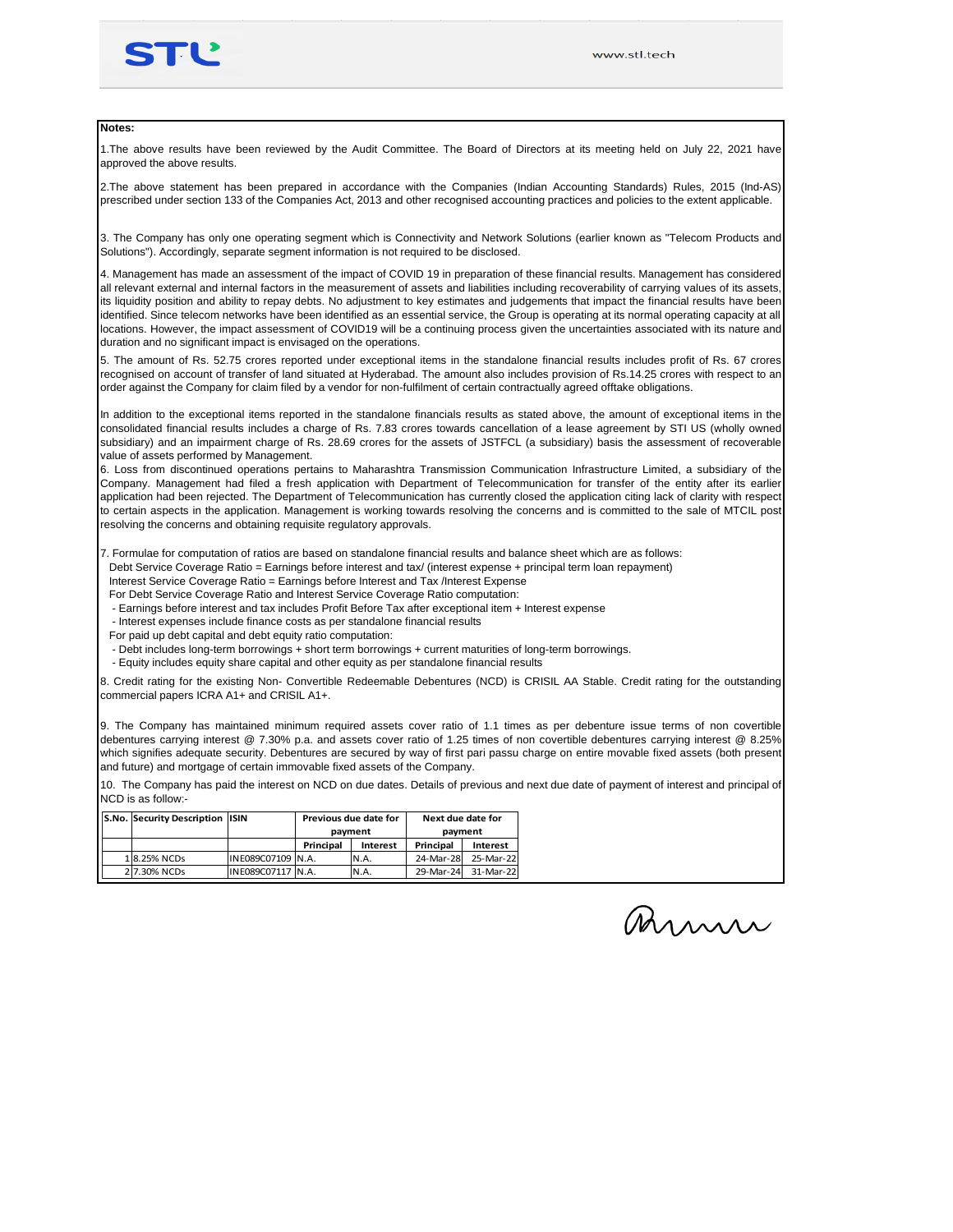

## **Notes:**

1.The above results have been reviewed by the Audit Committee. The Board of Directors at its meeting held on July 22, 2021 have approved the above results.

2.The above statement has been prepared in accordance with the Companies (Indian Accounting Standards) Rules, 2015 (Ind-AS) prescribed under section 133 of the Companies Act, 2013 and other recognised accounting practices and policies to the extent applicable.

3. The Company has only one operating segment which is Connectivity and Network Solutions (earlier known as "Telecom Products and Solutions"). Accordingly, separate segment information is not required to be disclosed.

4. Management has made an assessment of the impact of COVID 19 in preparation of these financial results. Management has considered all relevant external and internal factors in the measurement of assets and liabilities including recoverability of carrying values of its assets its liquidity position and ability to repay debts. No adjustment to key estimates and judgements that impact the financial results have been identified. Since telecom networks have been identified as an essential service, the Group is operating at its normal operating capacity at all locations. However, the impact assessment of COVID19 will be a continuing process given the uncertainties associated with its nature and duration and no significant impact is envisaged on the operations.

5. The amount of Rs. 52.75 crores reported under exceptional items in the standalone financial results includes profit of Rs. 67 crores recognised on account of transfer of land situated at Hyderabad. The amount also includes provision of Rs.14.25 crores with respect to an order against the Company for claim filed by a vendor for non-fulfilment of certain contractually agreed offtake obligations.

In addition to the exceptional items reported in the standalone financials results as stated above, the amount of exceptional items in the consolidated financial results includes a charge of Rs. 7.83 crores towards cancellation of a lease agreement by STI US (wholly owned subsidiary) and an impairment charge of Rs. 28.69 crores for the assets of JSTFCL (a subsidiary) basis the assessment of recoverable value of assets performed by Management.

6. Loss from discontinued operations pertains to Maharashtra Transmission Communication Infrastructure Limited, a subsidiary of the Company. Management had filed a fresh application with Department of Telecommunication for transfer of the entity after its earlier application had been rejected. The Department of Telecommunication has currently closed the application citing lack of clarity with respect to certain aspects in the application. Management is working towards resolving the concerns and is committed to the sale of MTCIL post resolving the concerns and obtaining requisite regulatory approvals.

7. Formulae for computation of ratios are based on standalone financial results and balance sheet which are as follows:

- Debt Service Coverage Ratio = Earnings before interest and tax/ (interest expense + principal term loan repayment)
- Interest Service Coverage Ratio = Earnings before Interest and Tax /Interest Expense
- For Debt Service Coverage Ratio and Interest Service Coverage Ratio computation:
- Earnings before interest and tax includes Profit Before Tax after exceptional item + Interest expense
- Interest expenses include finance costs as per standalone financial results
- For paid up debt capital and debt equity ratio computation:
- Debt includes long-term borrowings + short term borrowings + current maturities of long-term borrowings.
- Equity includes equity share capital and other equity as per standalone financial results

8. Credit rating for the existing Non- Convertible Redeemable Debentures (NCD) is CRISIL AA Stable. Credit rating for the outstanding commercial papers ICRA A1+ and CRISIL A1+.

9. The Company has maintained minimum required assets cover ratio of 1.1 times as per debenture issue terms of non covertible debentures carrying interest @ 7.30% p.a. and assets cover ratio of 1.25 times of non covertible debentures carrying interest @ 8.25% which signifies adequate security. Debentures are secured by way of first pari passu charge on entire movable fixed assets (both present and future) and mortgage of certain immovable fixed assets of the Company.

10. The Company has paid the interest on NCD on due dates. Details of previous and next due date of payment of interest and principal of NCD is as follow:-<br> **S.No. Security Description ISIN**<br> **S.No. Security Description IS** NCD is as follow:-

| Previous due date for<br>Next due date for      |
|-------------------------------------------------|
|                                                 |
| payment                                         |
| Principal<br><b>Interest</b><br><b>Interest</b> |
| 24-Mar-28<br>25-Mar-22                          |
| 31-Mar-22<br>29-Mar-24                          |
|                                                 |

Arnn